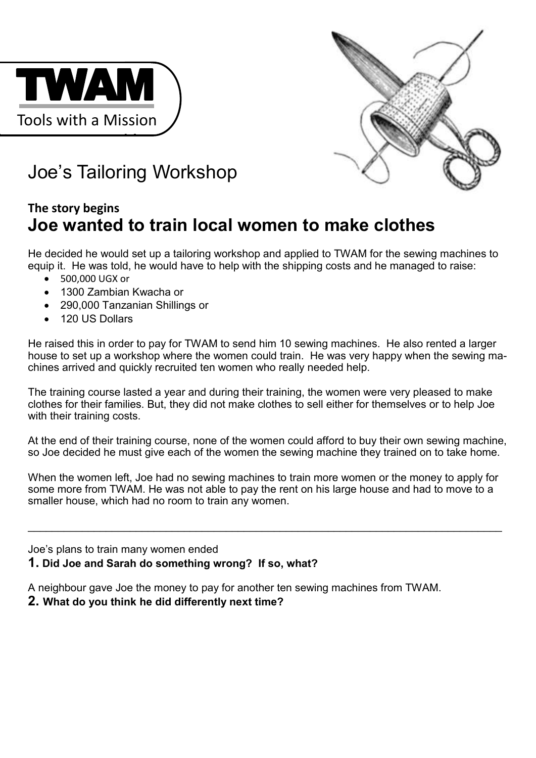



# Joe's Tailoring Workshop

### **The story begins Joe wanted to train local women to make clothes**

He decided he would set up a tailoring workshop and applied to TWAM for the sewing machines to equip it. He was told, he would have to help with the shipping costs and he managed to raise:

- 500,000 UGX or
- 1300 Zambian Kwacha or
- 290,000 Tanzanian Shillings or
- 120 US Dollars

He raised this in order to pay for TWAM to send him 10 sewing machines. He also rented a larger house to set up a workshop where the women could train. He was very happy when the sewing machines arrived and quickly recruited ten women who really needed help.

The training course lasted a year and during their training, the women were very pleased to make clothes for their families. But, they did not make clothes to sell either for themselves or to help Joe with their training costs.

At the end of their training course, none of the women could afford to buy their own sewing machine, so Joe decided he must give each of the women the sewing machine they trained on to take home.

When the women left, Joe had no sewing machines to train more women or the money to apply for some more from TWAM. He was not able to pay the rent on his large house and had to move to a smaller house, which had no room to train any women.

 $\_$  , and the contribution of the contribution of the contribution of the contribution of  $\mathcal{L}_\mathcal{A}$ 

Joe's plans to train many women ended **1. Did Joe and Sarah do something wrong? If so, what?**

A neighbour gave Joe the money to pay for another ten sewing machines from TWAM.

### **2. What do you think he did differently next time?**